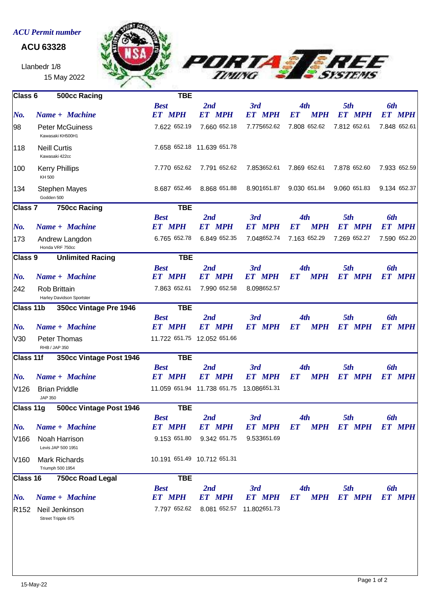## *ACU Permit number*

## **ACU 63328**

Llanbedr 1/8 15 May 2022





| Class 6                              | 500cc Racing                               | <b>TBE</b>                   |                                        |                      |                                                                                                                                                                                                                                                  |                         |                         |
|--------------------------------------|--------------------------------------------|------------------------------|----------------------------------------|----------------------|--------------------------------------------------------------------------------------------------------------------------------------------------------------------------------------------------------------------------------------------------|-------------------------|-------------------------|
|                                      |                                            | <b>Best</b>                  | 2nd                                    | 3rd                  | 4th                                                                                                                                                                                                                                              | 5th                     | <b>6th</b>              |
| No.                                  | Name + Machine                             | <b>ET MPH</b>                | <b>ET MPH</b>                          | <b>ET MPH</b>        | <b>MPH</b><br>EТ                                                                                                                                                                                                                                 | <b>MPH</b><br><i>ET</i> | <i>ET</i><br><b>MPH</b> |
| 98                                   | <b>Peter McGuiness</b><br>Kawasaki KH500H1 | 7.622 652.19                 | 7.660 652.18                           | 7.775652.62          | 7.808 652.62                                                                                                                                                                                                                                     | 7.812 652.61            | 7.848 652.61            |
| 118                                  | <b>Neill Curtis</b><br>Kawasaki 422cc      |                              | 7.658 652.18 11.639 651.78             |                      |                                                                                                                                                                                                                                                  |                         |                         |
| 100                                  | <b>Kerry Phillips</b><br>KH 500            | 7.770 652.62                 | 7.791 652.62                           | 7.853652.61          | 7.869 652.61                                                                                                                                                                                                                                     | 7.878 652.60            | 7.933 652.59            |
| 134                                  | <b>Stephen Mayes</b><br>Godden 500         | 8.687 652.46                 | 8.868 651.88                           | 8.901651.87          | 9.030 651.84                                                                                                                                                                                                                                     | 9.060 651.83            | 9.134 652.37            |
| 750cc Racing<br>Class 7              |                                            | <b>TBE</b>                   |                                        |                      |                                                                                                                                                                                                                                                  |                         |                         |
|                                      |                                            | <b>Best</b>                  | 2nd                                    | 3rd                  | 4th                                                                                                                                                                                                                                              | 5th                     | <b>6th</b>              |
| $N$ o.                               | Name + Machine                             | <b>ET MPH</b>                | <b>ET MPH</b>                          | <b>ET MPH</b>        | <b>MPH</b><br><b>ET</b>                                                                                                                                                                                                                          | <b>ET MPH</b>           | <b>ET MPH</b>           |
| 173                                  | Andrew Langdon<br>Honda VRF 750cc          | 6.765 652.78                 | 6.849 652.35                           | 7.048652.74          | 7.163 652.29                                                                                                                                                                                                                                     | 7.269 652.27            | 7.590 652.20            |
| Class 9                              | <b>Unlimited Racing</b>                    | <b>TBE</b>                   |                                        |                      |                                                                                                                                                                                                                                                  |                         |                         |
|                                      |                                            | <b>Best</b>                  | 2nd                                    | 3rd                  | 4th                                                                                                                                                                                                                                              | 5th                     | <b>6th</b>              |
| No.                                  | Name + Machine                             | <b>ET MPH</b>                | <b>ET MPH</b>                          | <b>ET MPH</b>        | <b>MPH</b><br><b>ET</b>                                                                                                                                                                                                                          | <b>ET MPH</b>           | <b>ET MPH</b>           |
| 242                                  | Rob Brittain<br>Harley Davidson Sportster  | 7.863 652.61                 | 7.990 652.58                           | 8.098652.57          |                                                                                                                                                                                                                                                  |                         |                         |
| 350cc Vintage Pre 1946<br>Class 11b  |                                            | <b>TBE</b>                   |                                        |                      |                                                                                                                                                                                                                                                  |                         |                         |
| $N$ o.                               | Name + Machine                             | <b>Best</b><br><b>ET MPH</b> | 2nd<br><b>ET MPH</b>                   | 3rd<br><b>ET MPH</b> | 4th<br><b>MPH</b><br>ET                                                                                                                                                                                                                          | 5th<br><b>ET MPH</b>    | 6th<br><b>ET MPH</b>    |
| V30                                  | Peter Thomas<br>RHB / JAP 350              |                              | 11.722 651.75 12.052 651.66            |                      |                                                                                                                                                                                                                                                  |                         |                         |
| Class 11f<br>350cc Vintage Post 1946 |                                            | <b>TBE</b>                   |                                        |                      |                                                                                                                                                                                                                                                  |                         |                         |
|                                      |                                            | <b>Best</b>                  | 2nd                                    | 3rd                  | 4th                                                                                                                                                                                                                                              | 5th                     | 6th                     |
| No.                                  | Name + Machine                             | <b>ET MPH</b>                | <b>ET MPH</b>                          | <b>ET MPH</b>        | <b>MPH</b><br>ET amin'ny faritr'i Nobel and a Galerie (no ben'ny faritr'i Amerika State and a Francesco ao Frantsa.<br>Ny INSEE dia mandritry ny taona 2008–2014. Ilay kaominina dia kaominina mpikaamandrina dia mandrina ao ina ao<br>Ny INSEE | ET MPH                  | <b>ET MPH</b>           |
| V126                                 | <b>Brian Priddle</b><br>JAP 350            |                              | 11.059 651.94 11.738 651.75            | 13.086651.31         |                                                                                                                                                                                                                                                  |                         |                         |
| Class 11g                            | 500cc Vintage Post 1946                    | <b>TBE</b>                   |                                        |                      |                                                                                                                                                                                                                                                  |                         |                         |
| $\mathbf{N}$ o.                      | Name + Machine                             | <b>Best</b><br>ET MPH        | 2nd                                    | 3rd                  | 4th<br>ET MPH ET MPH ET MPH ET MPH ET MPH                                                                                                                                                                                                        | 5th                     | 6th                     |
| V166                                 | Noah Harrison<br>Levis JAP 500 1951        |                              | 9.153 651.80 9.342 651.75              | 9.533651.69          |                                                                                                                                                                                                                                                  |                         |                         |
| V160                                 | <b>Mark Richards</b><br>Triumph 500 1954   |                              | 10.191 651.49 10.712 651.31            |                      |                                                                                                                                                                                                                                                  |                         |                         |
| Class 16                             | 750cc Road Legal                           | <b>TBE</b>                   |                                        |                      |                                                                                                                                                                                                                                                  |                         |                         |
|                                      |                                            | <b>Best</b>                  | 2nd                                    | 3rd                  | 4th                                                                                                                                                                                                                                              | 5th                     | <b>6th</b>              |
| No.                                  | Name + Machine                             | <b>ET MPH</b>                | <b>ET MPH</b>                          | <b>ET MPH</b>        | ET MPH ET MPH                                                                                                                                                                                                                                    |                         | <b>ET MPH</b>           |
|                                      | R152 Neil Jenkinson<br>Street Tripple 675  |                              | 7.797 652.62 8.081 652.57 11.802651.73 |                      |                                                                                                                                                                                                                                                  |                         |                         |
|                                      |                                            |                              |                                        |                      |                                                                                                                                                                                                                                                  |                         |                         |